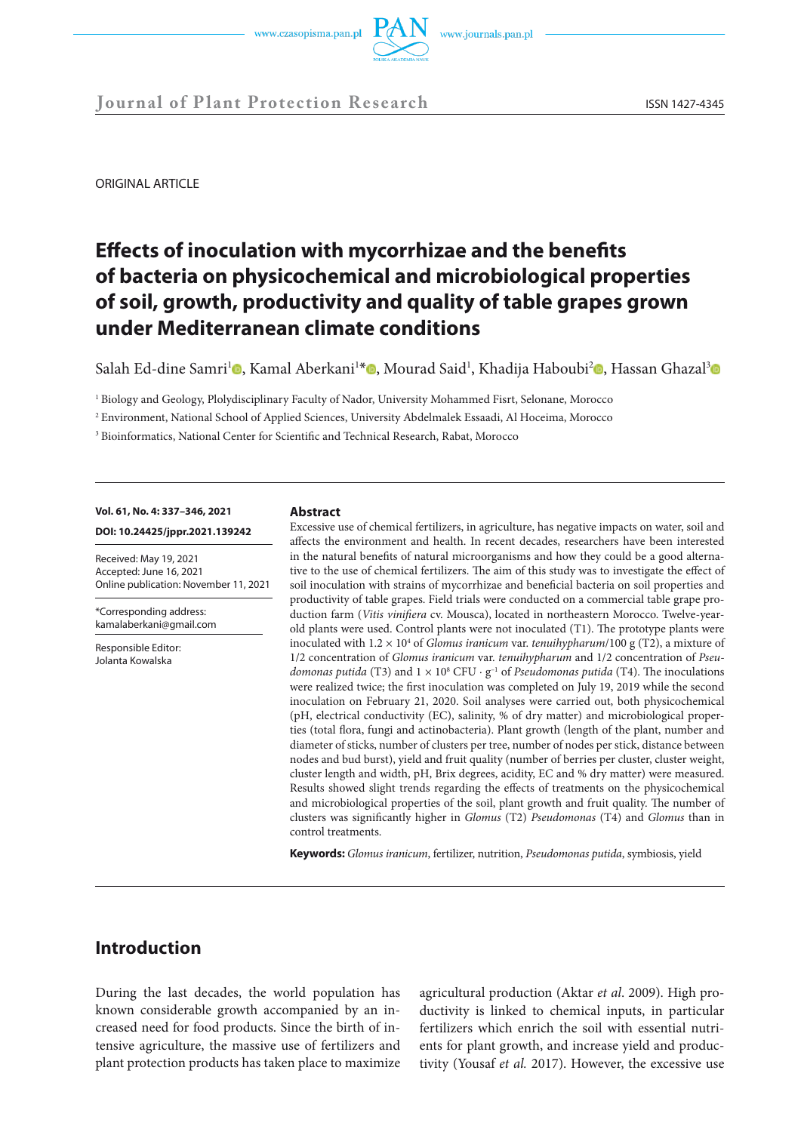

ORIGINAL ARTICLE

# **Effects of inoculation with mycorrhizae and the benefits of bacteria on physicochemical and microbiological properties of soil, growth, productivity and quality of table grapes grown under Mediterranean climate conditions**

Salah Ed-dine Samri<sup>1</sup>0[,](https://orcid.org/0000-0002-3847-4207) Kamal Aberkani<sup>1\*</sup>0, Mourad Said<sup>1</sup>, Khadija Haboubi<sup>2</sup>0, Hassan Ghazal<sup>[3](https://orcid.org/0000-0002-0638-2180)</sup>0

<sup>1</sup> Biology and Geology, Plolydisciplinary Faculty of Nador, University Mohammed Fisrt, Selonane, Morocco

<sup>2</sup> Environment, National School of Applied Sciences, University Abdelmalek Essaadi, Al Hoceima, Morocco

<sup>3</sup> Bioinformatics, National Center for Scientific and Technical Research, Rabat, Morocco

# **Vol. 61, No. 4: 337–346, 2021 DOI: 10.24425/jppr.2021.139242**

Received: May 19, 2021 Accepted: June 16, 2021 Online publication: November 11, 2021

\*Corresponding address: kamalaberkani@gmail.com

Responsible Editor: Jolanta Kowalska

#### **Abstract**

Excessive use of chemical fertilizers, in agriculture, has negative impacts on water, soil and affects the environment and health. In recent decades, researchers have been interested in the natural benefits of natural microorganisms and how they could be a good alternative to the use of chemical fertilizers. The aim of this study was to investigate the effect of soil inoculation with strains of mycorrhizae and beneficial bacteria on soil properties and productivity of table grapes. Field trials were conducted on a commercial table grape production farm (*Vitis vinifiera* cv. Mousca), located in northeastern Morocco. Twelve-yearold plants were used. Control plants were not inoculated (T1). The prototype plants were inoculated with 1.2 × 10<sup>4</sup> of *Glomus iranicum* var. *tenuihypharum*/100 g (T2), a mixture of 1/2 concentration of *Glomus iranicum* var. *tenuihypharum* and 1/2 concentration of *Pseudomonas putida* (T3) and  $1 \times 10^8$  CFU  $\cdot$  g<sup>-1</sup> of *Pseudomonas putida* (T4). The inoculations were realized twice; the first inoculation was completed on July 19, 2019 while the second inoculation on February 21, 2020. Soil analyses were carried out, both physicochemical (pH, electrical conductivity (EC), salinity, % of dry matter) and microbiological properties (total flora, fungi and actinobacteria). Plant growth (length of the plant, number and diameter of sticks, number of clusters per tree, number of nodes per stick, distance between nodes and bud burst), yield and fruit quality (number of berries per cluster, cluster weight, cluster length and width, pH, Brix degrees, acidity, EC and % dry matter) were measured. Results showed slight trends regarding the effects of treatments on the physicochemical and microbiological properties of the soil, plant growth and fruit quality. The number of clusters was significantly higher in *Glomus* (T2) *Pseudomonas* (T4) and *Glomus* than in control treatments.

**Keywords:** *Glomus iranicum*, fertilizer, nutrition, *Pseudomonas putida*, symbiosis, yield

# **Introduction**

During the last decades, the world population has known considerable growth accompanied by an increased need for food products. Since the birth of intensive agriculture, the massive use of fertilizers and plant protection products has taken place to maximize agricultural production (Aktar *et al*. 2009). High productivity is linked to chemical inputs, in particular fertilizers which enrich the soil with essential nutrients for plant growth, and increase yield and productivity (Yousaf *et al.* 2017). However, the excessive use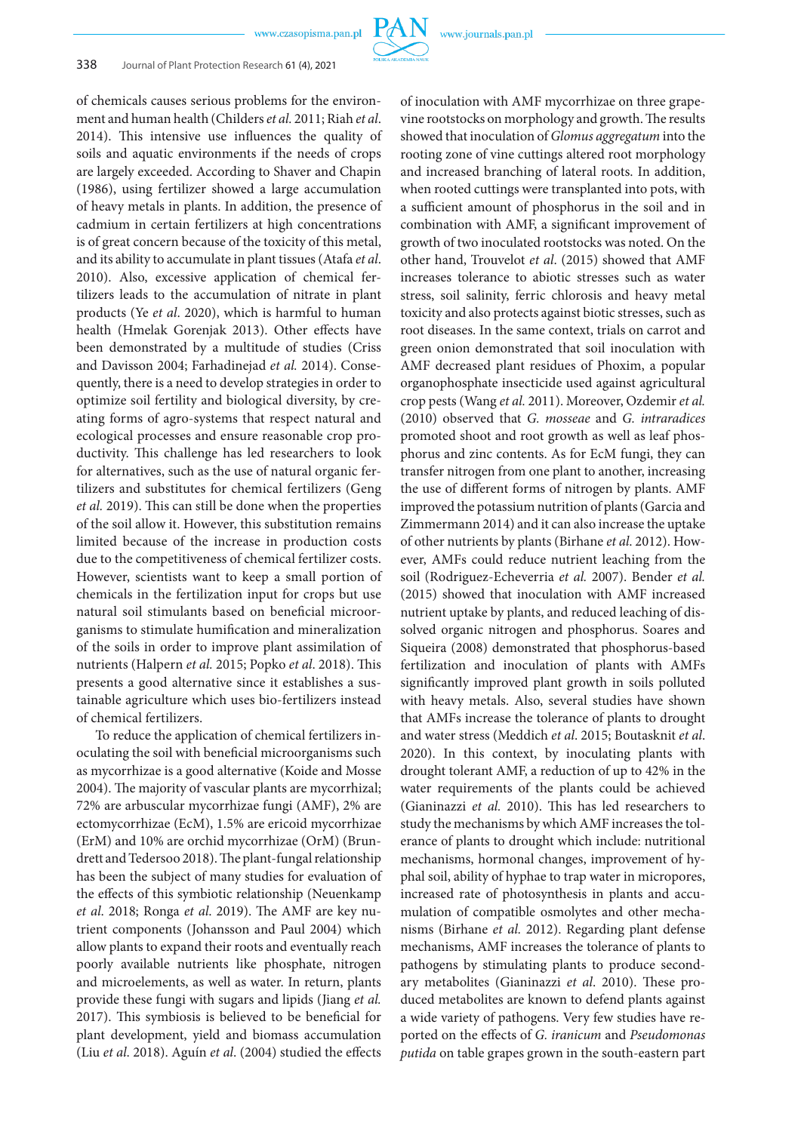# 338 Journal of Plant Protection Research 61 (4), 2021

of chemicals causes serious problems for the environment and human health (Childers *et al.* 2011; Riah *et al*. 2014). This intensive use influences the quality of soils and aquatic environments if the needs of crops are largely exceeded. According to Shaver and Chapin (1986), using fertilizer showed a large accumulation of heavy metals in plants. In addition, the presence of cadmium in certain fertilizers at high concentrations is of great concern because of the toxicity of this metal, and its ability to accumulate in plant tissues (Atafa *et al*. 2010). Also, excessive application of chemical fertilizers leads to the accumulation of nitrate in plant products (Ye *et al*. 2020), which is harmful to human health (Hmelak Gorenjak 2013). Other effects have been demonstrated by a multitude of studies (Criss and Davisson 2004; Farhadinejad *et al.* 2014). Consequently, there is a need to develop strategies in order to optimize soil fertility and biological diversity, by creating forms of agro-systems that respect natural and ecological processes and ensure reasonable crop productivity. This challenge has led researchers to look for alternatives, such as the use of natural organic fertilizers and substitutes for chemical fertilizers (Geng *et al.* 2019). This can still be done when the properties of the soil allow it. However, this substitution remains limited because of the increase in production costs due to the competitiveness of chemical fertilizer costs. However, scientists want to keep a small portion of chemicals in the fertilization input for crops but use natural soil stimulants based on beneficial microorganisms to stimulate humification and mineralization of the soils in order to improve plant assimilation of nutrients (Halpern *et al.* 2015; Popko *et al*. 2018). This presents a good alternative since it establishes a sustainable agriculture which uses bio-fertilizers instead of chemical fertilizers.

To reduce the application of chemical fertilizers inoculating the soil with beneficial microorganisms such as mycorrhizae is a good alternative (Koide and Mosse 2004). The majority of vascular plants are mycorrhizal; 72% are arbuscular mycorrhizae fungi (AMF), 2% are ectomycorrhizae (EcM), 1.5% are ericoid mycorrhizae (ErM) and 10% are orchid mycorrhizae (OrM) (Brundrett and Tedersoo 2018). The plant-fungal relationship has been the subject of many studies for evaluation of the effects of this symbiotic relationship (Neuenkamp *et al*. 2018; Ronga *et al*. 2019). The AMF are key nutrient components (Johansson and Paul 2004) which allow plants to expand their roots and eventually reach poorly available nutrients like phosphate, nitrogen and microelements, as well as water. In return, plants provide these fungi with sugars and lipids (Jiang *et al.* 2017). This symbiosis is believed to be beneficial for plant development, yield and biomass accumulation (Liu *et al*. 2018). Aguín *et al*. (2004) studied the effects

of inoculation with AMF mycorrhizae on three grapevine rootstocks on morphology and growth. The results showed that inoculation of *Glomus aggregatum* into the rooting zone of vine cuttings altered root morphology and increased branching of lateral roots. In addition, when rooted cuttings were transplanted into pots, with a sufficient amount of phosphorus in the soil and in combination with AMF, a significant improvement of growth of two inoculated rootstocks was noted. On the other hand, Trouvelot *et al*. (2015) showed that AMF increases tolerance to abiotic stresses such as water stress, soil salinity, ferric chlorosis and heavy metal toxicity and also protects against biotic stresses, such as root diseases. In the same context, trials on carrot and green onion demonstrated that soil inoculation with AMF decreased plant residues of Phoxim, a popular organophosphate insecticide used against agricultural crop pests (Wang *et al.* 2011). Moreover, Ozdemir *et al.* (2010) observed that *G. mosseae* and *G. intraradices* promoted shoot and root growth as well as leaf phosphorus and zinc contents. As for EcM fungi, they can transfer nitrogen from one plant to another, increasing the use of different forms of nitrogen by plants. AMF improved the potassium nutrition of plants (Garcia and Zimmermann 2014) and it can also increase the uptake of other nutrients by plants (Birhane *et al*. 2012). However, AMFs could reduce nutrient leaching from the soil (Rodriguez-Echeverria *et al.* 2007). Bender *et al.* (2015) showed that inoculation with AMF increased nutrient uptake by plants, and reduced leaching of dissolved organic nitrogen and phosphorus. Soares and Siqueira (2008) demonstrated that phosphorus-based fertilization and inoculation of plants with AMFs significantly improved plant growth in soils polluted with heavy metals. Also, several studies have shown that AMFs increase the tolerance of plants to drought and water stress (Meddich *et al*. 2015; Boutasknit *et al*. 2020). In this context, by inoculating plants with drought tolerant AMF, a reduction of up to 42% in the water requirements of the plants could be achieved (Gianinazzi *et al.* 2010). This has led researchers to study the mechanisms by which AMF increases the tolerance of plants to drought which include: nutritional mechanisms, hormonal changes, improvement of hyphal soil, ability of hyphae to trap water in micropores, increased rate of photosynthesis in plants and accumulation of compatible osmolytes and other mechanisms (Birhane *et al.* 2012). Regarding plant defense mechanisms, AMF increases the tolerance of plants to pathogens by stimulating plants to produce secondary metabolites (Gianinazzi *et al*. 2010). These produced metabolites are known to defend plants against a wide variety of pathogens. Very few studies have reported on the effects of *G. iranicum* and *Pseudomonas putida* on table grapes grown in the south-eastern part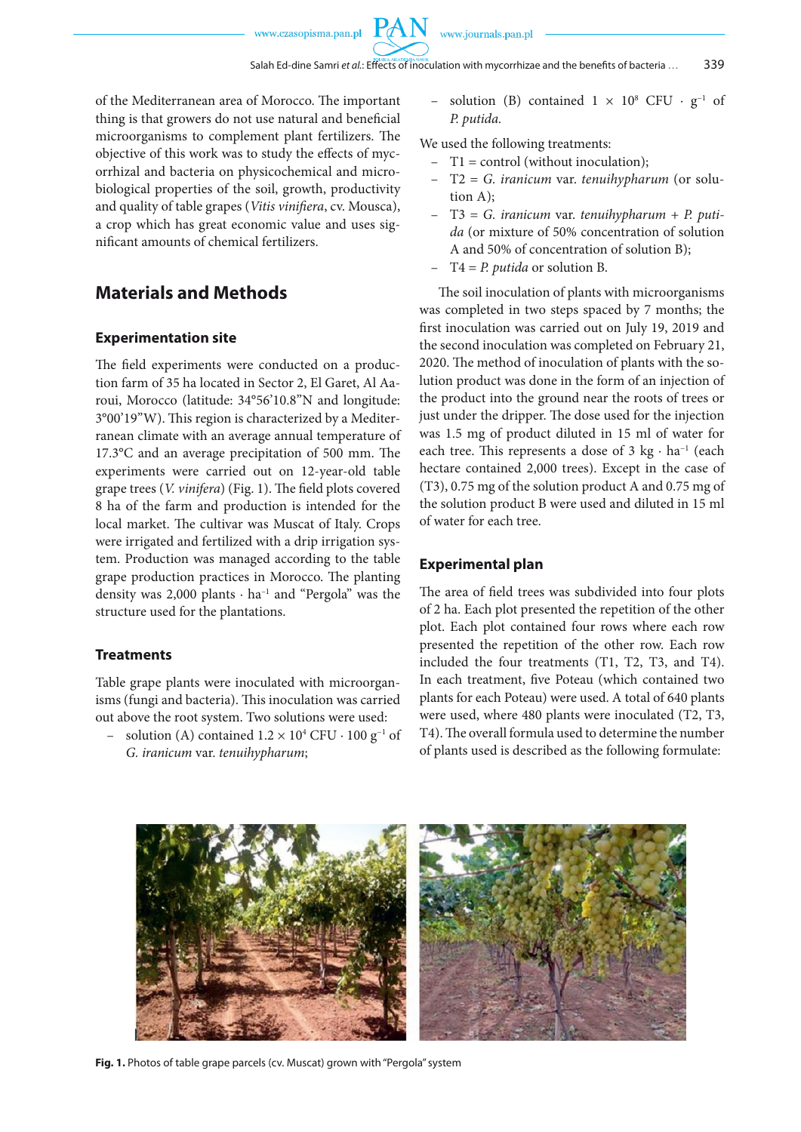of the Mediterranean area of Morocco. The important thing is that growers do not use natural and beneficial microorganisms to complement plant fertilizers. The objective of this work was to study the effects of mycorrhizal and bacteria on physicochemical and microbiological properties of the soil, growth, productivity and quality of table grapes (*Vitis vinifiera*, cv. Mousca), a crop which has great economic value and uses significant amounts of chemical fertilizers.

# **Materials and Methods**

#### **Experimentation site**

The field experiments were conducted on a production farm of 35 ha located in Sector 2, El Garet, Al Aaroui, Morocco (latitude: 34°56'10.8"N and longitude: 3°00'19"W). This region is characterized by a Mediterranean climate with an average annual temperature of 17.3°C and an average precipitation of 500 mm. The experiments were carried out on 12-year-old table grape trees (*V. vinifera*) (Fig. 1). The field plots covered 8 ha of the farm and production is intended for the local market. The cultivar was Muscat of Italy. Crops were irrigated and fertilized with a drip irrigation system. Production was managed according to the table grape production practices in Morocco. The planting density was 2,000 plants  $\cdot$  ha<sup>-1</sup> and "Pergola" was the structure used for the plantations.

# **Treatments**

Table grape plants were inoculated with microorganisms (fungi and bacteria). This inoculation was carried out above the root system. Two solutions were used:

− solution (A) contained  $1.2 \times 10^4$  CFU · 100 g<sup>-1</sup> of *G. iranicum* var. *tenuihypharum*;

– solution (B) contained  $1 \times 10^8$  CFU ·  $g^{-1}$  of *P. putida.*

We used the following treatments:

- T1 = control (without inoculation);
- T2 = *G. iranicum* var. *tenuihypharum* (or solution A);
- T3 = *G. iranicum* var. *tenuihypharum* + *P. putida* (or mixture of 50% concentration of solution A and 50% of concentration of solution B);
- T4 = *P. putida* or solution B.

The soil inoculation of plants with microorganisms was completed in two steps spaced by 7 months; the first inoculation was carried out on July 19, 2019 and the second inoculation was completed on February 21, 2020. The method of inoculation of plants with the solution product was done in the form of an injection of the product into the ground near the roots of trees or just under the dripper. The dose used for the injection was 1.5 mg of product diluted in 15 ml of water for each tree. This represents a dose of 3 kg · ha<sup>-1</sup> (each hectare contained 2,000 trees). Except in the case of (T3), 0.75 mg of the solution product A and 0.75 mg of the solution product B were used and diluted in 15 ml of water for each tree.

## **Experimental plan**

The area of field trees was subdivided into four plots of 2 ha. Each plot presented the repetition of the other plot. Each plot contained four rows where each row presented the repetition of the other row. Each row included the four treatments (T1, T2, T3, and T4). In each treatment, five Poteau (which contained two plants for each Poteau) were used. A total of 640 plants were used, where 480 plants were inoculated (T2, T3, T4). The overall formula used to determine the number of plants used is described as the following formulate:



**Fig. 1.** Photos of table grape parcels (cv. Muscat) grown with "Pergola" system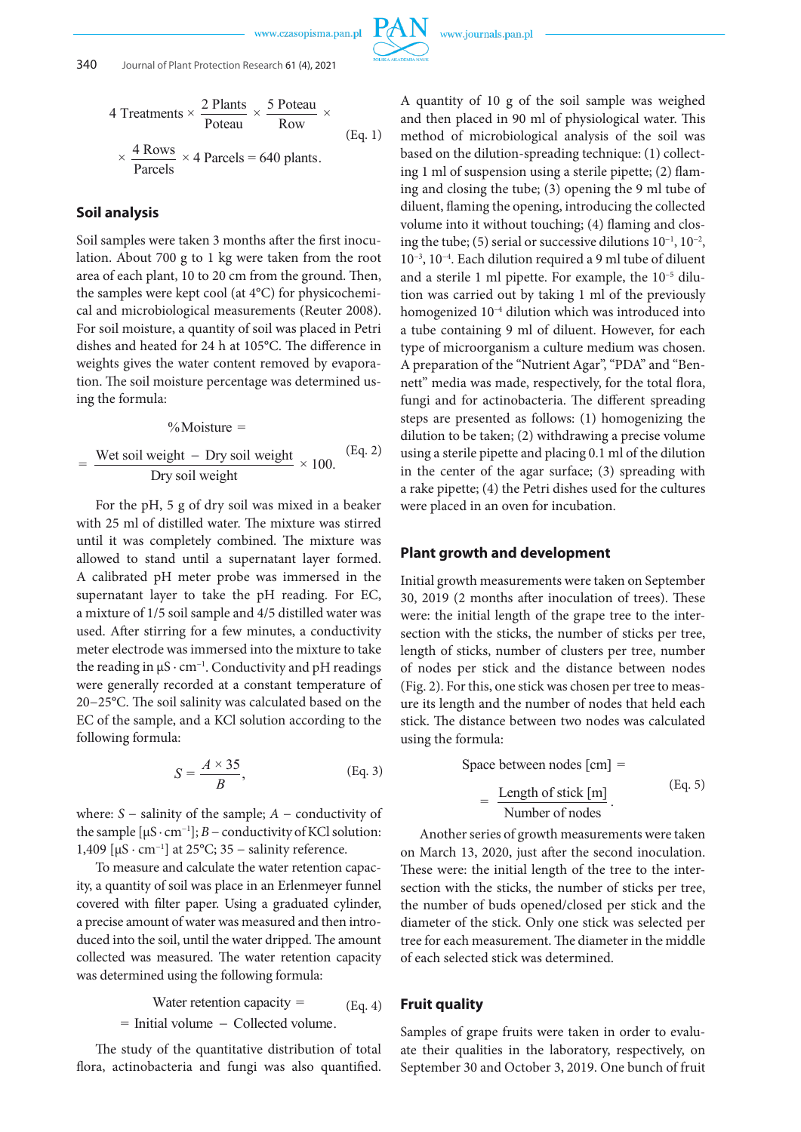4 Treatments × 
$$
\frac{2 \text{ Plants}}{\text{Poteau}} \times \frac{5 \text{ Poteau}}{\text{Row}} \times
$$
  
×  $\frac{4 \text{ Rows}}{\text{Parcels}} \times 4 \text{ Parcels} = 640 \text{ plants.}$  (Eq. 1)

# **Soil analysis**

Soil samples were taken 3 months after the first inocuation. About 700 g to 1 kg were taken from the foot<br>area of each plant, 10 to 20 cm from the ground. Then, the samples were kept cool (at 4°C) for physicochemi lation. About 700 g to 1 kg were taken from the root above and neared for 21 *A* at 100 °C. The american in tion. The soil moisture percentage was determined uscal and microbiological measurements (Reuter 2008). For soil moisture, a quantity of soil was placed in Petri dishes and heated for 24 h at 105°C. The difference in ing the formula:

$$
\% \text{Moisture} =
$$

$$
= \frac{\text{Wet soil weight} - \text{Dry soil weight}}{\text{Dry soil weight}} \times 100. \quad \text{(Eq. 2)}
$$

A calibrated pH meter probe was immersed in the supernatant layer to take the pH reading. For EC,<br>a mixture of 1/5 soil sample and 4/5 distilled water was the reading in  $\mu$ s·cin : Conductivity and pri readings or<br>were generally recorded at a constant temperature of (  $20-25$  C. The son samply was calculated based on the EC of the sample, and a KCl solution according to the For the pH, 5 g of dry soil was mixed in a beaker For the pri, *5* g of the y son was infixed in a beaker<br>with 25 ml of distilled water. The mixture was stirred while 25 lin of distinct water. The mixture was started until it was completely combined. The mixture was allowed to stand until a supernatant layer formed.<br>A calibrated pH meter probe was immersed in the supernatant layer to take the pH reading. For EC, used. After stirring for a few minutes, a conductivity meter electrode was immersed into the mixture to take the reading in μS · cm<sup>-1</sup>. Conductivity and pH readings next extends the soil salinity was calculated based on the university CD–25 °C. The soil salinity was calculated based on the following formula:

$$
S = \frac{A \times 35}{B}, \qquad (Eq. 3)
$$

the sample  $[\mu S \cdot cm^{-1}]$ ; *B* – conductivity of KCl solution:<br>1.400.  $[\mu S \cdot cm^{-1}]$  at 25%; <sup>35</sup>. solinity reference. 1,409  $\left[\mu\right]$   $\alpha$  cm<sup>-1</sup>] at 25°C; 35 – salinity reference. where: *S* − salinity of the sample; *A* − conductivity of

a precise amount of water was measured and then introduced into the soil, until the water dripped. The amount To measure and calculate the water retention capacwas determined using the following formula: ity, a quantity of soil was place in an Erlenmeyer funnel covered with filter paper. Using a graduated cylinder, collected was measured. The water retention capacity

Water retention capacity = 
$$
(Eq. 4)
$$
  
= Initial volume – Collected volume.

The study of the quantitative distribution of total flora, actinobacteria and fungi was also quantified.

A quantity of 10 g of the soil sample was weighed and then placed in 90 ml of physiological water. This method of microbiological analysis of the soil was based on the dilution-spreading technique: (1) collecting 1 ml of suspension using a sterile pipette; (2) flaming and closing the tube; (3) opening the 9 ml tube of diluent, flaming the opening, introducing the collected volume into it without touching; (4) flaming and closing the tube; (5) serial or successive dilutions 10−1, 10−2, 10−3, 10−4. Each dilution required a 9 ml tube of diluent and a sterile 1 ml pipette. For example, the 10–5 dilution was carried out by taking 1 ml of the previously tion was carried out by taking 1 ml of the previously<br>homogenized 10<sup>-4</sup> dilution which was introduced into a tube containing 9 ml of diluent. However, for each type of microorganism a culture medium was chosen. type of microorganism a culture medium was chosen.<br>A preparation of the "Nutrient Agar", "PDA" and "Bennett" media was made, respectively, for the total flora, fungi and for actinobacteria. The different spreading steps are presented as follows: (1) homogenizing the dilution to be taken; (2) withdrawing a precise volume using a sterile pipette and placing 0.1 ml of the dilution using a sterile pipette and placing 0.1 fill of the dilution<br>in the center of the agar surface; (3) spreading with a rake pipette; (4) the Petri dishes used for the cultures were placed in an oven for incubation. will was introdu<br>hi

# **Plant growth and development**

Initial growth measurements were taken on September *B* 30, 2019 (2 months after inoculation of trees). These were: the initial length of the grape tree to the intersection with the sticks, the number of sticks per tree, length of sticks, number of clusters per tree, number of nodes per stick and the distance between nodes (Fig. 2). For this, one stick was chosen per tree to measure its length and the number of nodes that held each stick. The distance between two nodes was calculated using the formula:

Space between nodes [cm] =  
= 
$$
\frac{\text{Length of stick [m]}}{\text{Number of nodes}}.
$$
 (Eq. 5)

section with the sticks, the number of sticks per tree, r of buds opened/closed per stick and the<br>f the stick. Only one stick was selected per diameter of the stick. Only one stick was selected per Another series of growth measurements were taken on March 13, 2020, just after the second inoculation. These were: the initial length of the tree to the interthe number of buds opened/closed per stick and the tree for each measurement. The diameter in the middle of each selected stick was determined.

## **Fruit quality**

Samples of grape fruits were taken in order to evaluate their qualities in the laboratory, respectively, on September 30 and October 3, 2019. One bunch of fruit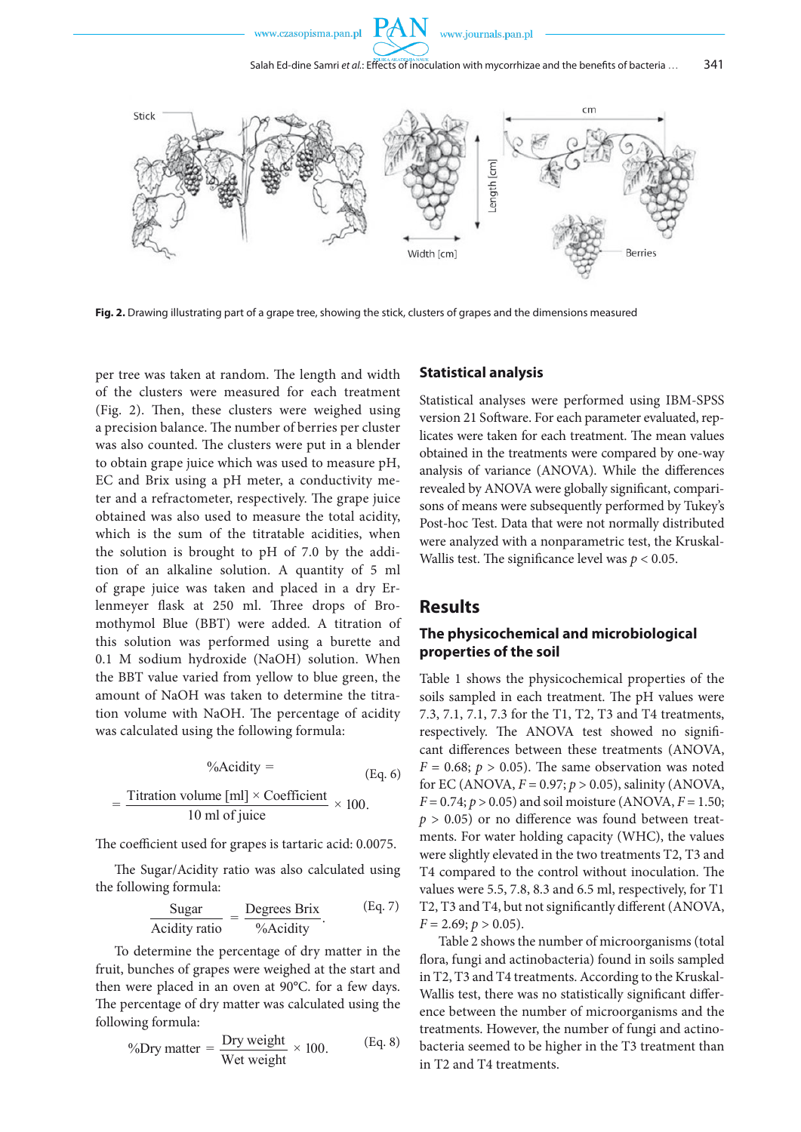



**Fig. 2.** Drawing illustrating part of a grape tree, showing the stick, clusters of grapes and the dimensions measured

per tree was taken at random. The length and width of the clusters were measured for each treatment (Fig. 2). Then, these clusters were weighed using a precision balance. The number of berries per cluster was also counted. The clusters were put in a blender to obtain grape juice which was used to measure pH, *B B* EC and Brix using a pH meter, a conductivity meter and a refrectometer respectively. The grape juice  $t_{\text{c}}$  and  $t_{\text{min}}$  and  $\frac{t_{\text{max}}}{t_{\text{max}}}$  and  $\frac{t_{\text{max}}}{t_{\text{max}}}$  are  $t_{\text{max}}$  and  $\frac{t_{\text{max}}}{t_{\text{max}}}$  are  $\frac{t_{\text{max}}}{t_{\text{max}}}$ obtained was also used to measure the total acidity, botumed was also used to measure the total definity, which is the sum of the titratable acidities, when the solution is brought to pH of 7.0 by the addition of an alkaline solution. A quantity of 5 ml of grape juice was taken and placed in a dry Erlenmeyer flask at 250 ml. Three drops of Bromothymol Blue (BBT) were added. A titration of this solution was performed using a burette and and column mas performed doing a curence and 0.1 M sodium hydroxide (NaOH) solution. When the BBT value varied from yellow to blue green, the the BBT value varied from yellow to blue green, the<br>amount of NaOH was taken to determine the titration volume with NaOH. The percentage of acidity was calculated using the following formula: *B*

$$
\% \text{Acidity} = \text{(Eq. 6)}
$$

$$
= \frac{\text{Titration volume [ml]} \times \text{Coefficient}}{10 \text{ ml of juice}} \times 100.
$$

The coefficient used for grapes is tartaric acid: 0.0075.

The Sugar/Acidity ratio was also calculated using the following formula:

$$
\frac{\text{Sugar}}{\text{Acidity ratio}} = \frac{\text{Degrees Brix}}{\% \text{Acidity}}.
$$
 (Eq. 7)

Expected in an oven at 50 C.<br>e percentage of dry matter was calcu The percentage of dry matter was calculated using the<br>following formula: To determine the percentage of dry matter in the To determine the percentage of dry matter in the fruit, bunches of grapes were weighed at the start and then were placed in an oven at 90°C. for a few days. following formula:

$$
\% \text{Dry matter} = \frac{\text{Dry weight}}{\text{Wet weight}} \times 100. \tag{Eq. 8}
$$

#### **Statistical analysis**

Statistical analyses were performed using IBM-SPSS version 21 Software. For each parameter evaluated, replicates were taken for each treatment. The mean values obtained in the treatments were compared by one-way analysis of variance (ANOVA). While the differences revealed by ANOVA were globally significant, comparisons of means were subsequently performed by Tukey's Post-hoc Test. Data that were not normally distributed were analyzed with a nonparametric test, the Kruskal-Wallis test. The significance level was  $p < 0.05$ .

# **Results**

# **The physicochemical and microbiological properties of the soil**

Table 1 shows the physicochemical properties of the soils sampled in each treatment. The pH values were 7.3, 7.1, 7.1, 7.3 for the T1, T2, T3 and T4 treatments, respectively. The ANOVA test showed no significant differences between these treatments (ANOVA,  $F = 0.68$ ;  $p > 0.05$ ). The same observation was noted for EC (ANOVA, *F* = 0.97; *p* > 0.05), salinity (ANOVA,  $F = 0.74$ ;  $p > 0.05$ ) and soil moisture (ANOVA,  $F = 1.50$ ;  $p > 0.05$ ) or no difference was found between treatments. For water holding capacity (WHC), the values were slightly elevated in the two treatments T2, T3 and T4 compared to the control without inoculation. The values were 5.5, 7.8, 8.3 and 6.5 ml, respectively, for T1 T2, T3 and T4, but not significantly different (ANOVA,  $F = 2.69$ ;  $p > 0.05$ ).

Table 2 shows the number of microorganisms (total flora, fungi and actinobacteria) found in soils sampled in T2, T3 and T4 treatments. According to the Kruskal-Wallis test, there was no statistically significant difference between the number of microorganisms and the treatments. However, the number of fungi and actinobacteria seemed to be higher in the T3 treatment than in T2 and T4 treatments.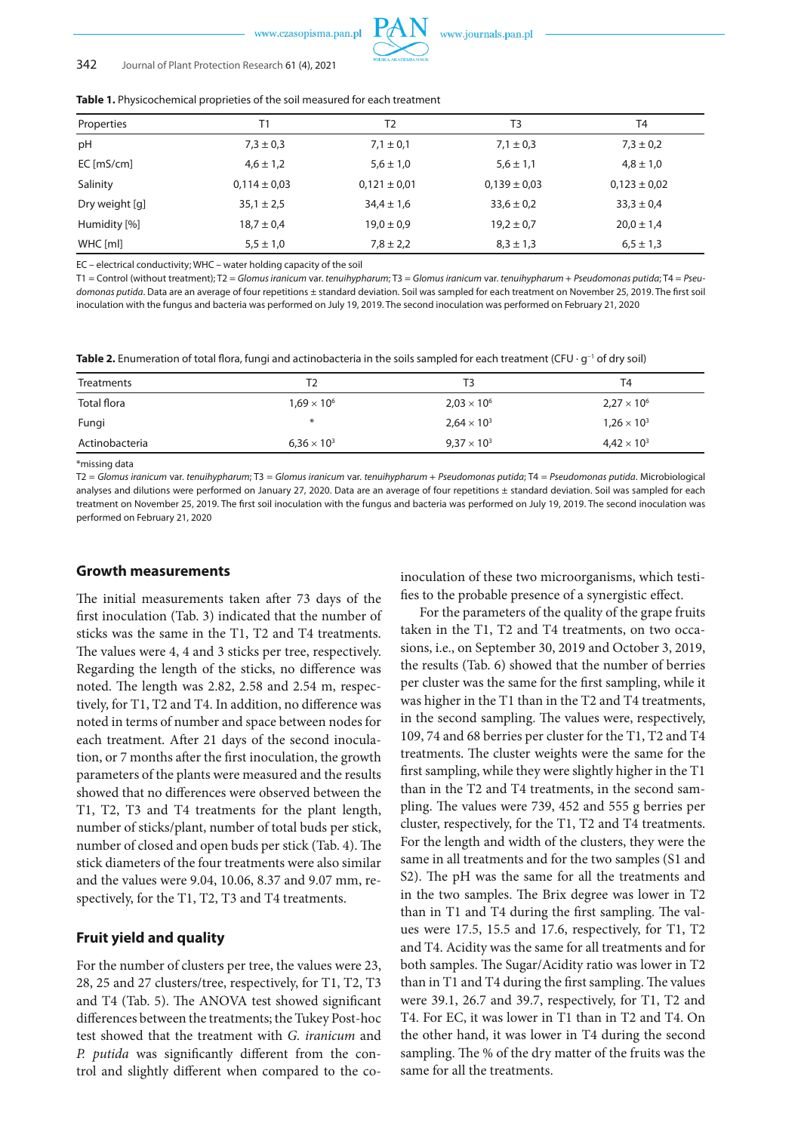

#### 342 Journal of Plant Protection Research 61 (4), 2021

| Properties     | Τ1               | T <sub>2</sub>   | T3               | T4               |
|----------------|------------------|------------------|------------------|------------------|
| pH             | $7,3 \pm 0,3$    | $7.1 \pm 0.1$    | $7,1 \pm 0,3$    | $7.3 \pm 0.2$    |
| $EC$ [mS/cm]   | $4,6 \pm 1,2$    | $5.6 \pm 1.0$    | $5.6 \pm 1.1$    | $4,8 \pm 1,0$    |
| Salinity       | $0,114 \pm 0,03$ | $0,121 \pm 0,01$ | $0,139 \pm 0,03$ | $0,123 \pm 0,02$ |
| Dry weight [g] | $35,1 \pm 2,5$   | $34.4 \pm 1.6$   | $33,6 \pm 0.2$   | $33.3 \pm 0.4$   |
| Humidity [%]   | $18.7 \pm 0.4$   | $19.0 \pm 0.9$   | $19.2 \pm 0.7$   | $20.0 \pm 1.4$   |
| WHC [ml]       | $5,5 \pm 1,0$    | $7,8 \pm 2,2$    | $8,3 \pm 1,3$    | $6,5 \pm 1,3$    |

**Table 1.** Physicochemical proprieties of the soil measured for each treatment

EC – electrical conductivity; WHC – water holding capacity of the soil

T1 = Control (without treatment); T2 = *Glomus iranicum* var. *tenuihypharum*; T3 = *Glomus iranicum* var. *tenuihypharum* + *Pseudomonas putida*; T4 = *Pseudomonas putida*. Data are an average of four repetitions ± standard deviation. Soil was sampled for each treatment on November 25, 2019. The first soil inoculation with the fungus and bacteria was performed on July 19, 2019. The second inoculation was performed on February 21, 2020

Table 2. Enumeration of total flora, fungi and actinobacteria in the soils sampled for each treatment (CFU · g<sup>−1</sup> of dry soil)

| Treatments     | Τ2                   | T <sub>3</sub>       | T4                   |
|----------------|----------------------|----------------------|----------------------|
| Total flora    | $1.69 \times 10^{6}$ | $2,03 \times 10^{6}$ | $2,27 \times 10^{6}$ |
| Fungi          | $\ast$               | $2,64 \times 10^{3}$ | $1.26 \times 10^{3}$ |
| Actinobacteria | $6,36 \times 10^{3}$ | $9.37 \times 10^{3}$ | $4.42 \times 10^{3}$ |

\*missing data

T2 = *Glomus iranicum* var. *tenuihypharum*; T3 = *Glomus iranicum* var. *tenuihypharum* + *Pseudomonas putida*; T4 = *Pseudomonas putida*. Microbiological analyses and dilutions were performed on January 27, 2020. Data are an average of four repetitions ± standard deviation. Soil was sampled for each treatment on November 25, 2019. The first soil inoculation with the fungus and bacteria was performed on July 19, 2019. The second inoculation was performed on February 21, 2020

## **Growth measurements**

The initial measurements taken after 73 days of the first inoculation (Tab. 3) indicated that the number of sticks was the same in the T1, T2 and T4 treatments. The values were 4, 4 and 3 sticks per tree, respectively. Regarding the length of the sticks, no difference was noted. The length was 2.82, 2.58 and 2.54 m, respectively, for T1, T2 and T4. In addition, no difference was noted in terms of number and space between nodes for each treatment. After 21 days of the second inoculation, or 7 months after the first inoculation, the growth parameters of the plants were measured and the results showed that no differences were observed between the T1, T2, T3 and T4 treatments for the plant length, number of sticks/plant, number of total buds per stick, number of closed and open buds per stick (Tab. 4). The stick diameters of the four treatments were also similar and the values were 9.04, 10.06, 8.37 and 9.07 mm, respectively, for the T1, T2, T3 and T4 treatments.

# **Fruit yield and quality**

For the number of clusters per tree, the values were 23, 28, 25 and 27 clusters/tree, respectively, for T1, T2, T3 and T4 (Tab. 5). The ANOVA test showed significant differences between the treatments; the Tukey Post-hoc test showed that the treatment with *G. iranicum* and *P. putida* was significantly different from the control and slightly different when compared to the coinoculation of these two microorganisms, which testifies to the probable presence of a synergistic effect.

For the parameters of the quality of the grape fruits taken in the T1, T2 and T4 treatments, on two occasions, i.e., on September 30, 2019 and October 3, 2019, the results (Tab. 6) showed that the number of berries per cluster was the same for the first sampling, while it was higher in the T1 than in the T2 and T4 treatments, in the second sampling. The values were, respectively, 109, 74 and 68 berries per cluster for the T1, T2 and T4 treatments. The cluster weights were the same for the first sampling, while they were slightly higher in the T1 than in the T2 and T4 treatments, in the second sampling. The values were 739, 452 and 555 g berries per cluster, respectively, for the T1, T2 and T4 treatments. For the length and width of the clusters, they were the same in all treatments and for the two samples (S1 and S2). The pH was the same for all the treatments and in the two samples. The Brix degree was lower in T2 than in T1 and T4 during the first sampling. The values were 17.5, 15.5 and 17.6, respectively, for T1, T2 and T4. Acidity was the same for all treatments and for both samples. The Sugar/Acidity ratio was lower in T2 than in T1 and T4 during the first sampling. The values were 39.1, 26.7 and 39.7, respectively, for T1, T2 and T4. For EC, it was lower in T1 than in T2 and T4. On the other hand, it was lower in T4 during the second sampling. The % of the dry matter of the fruits was the same for all the treatments.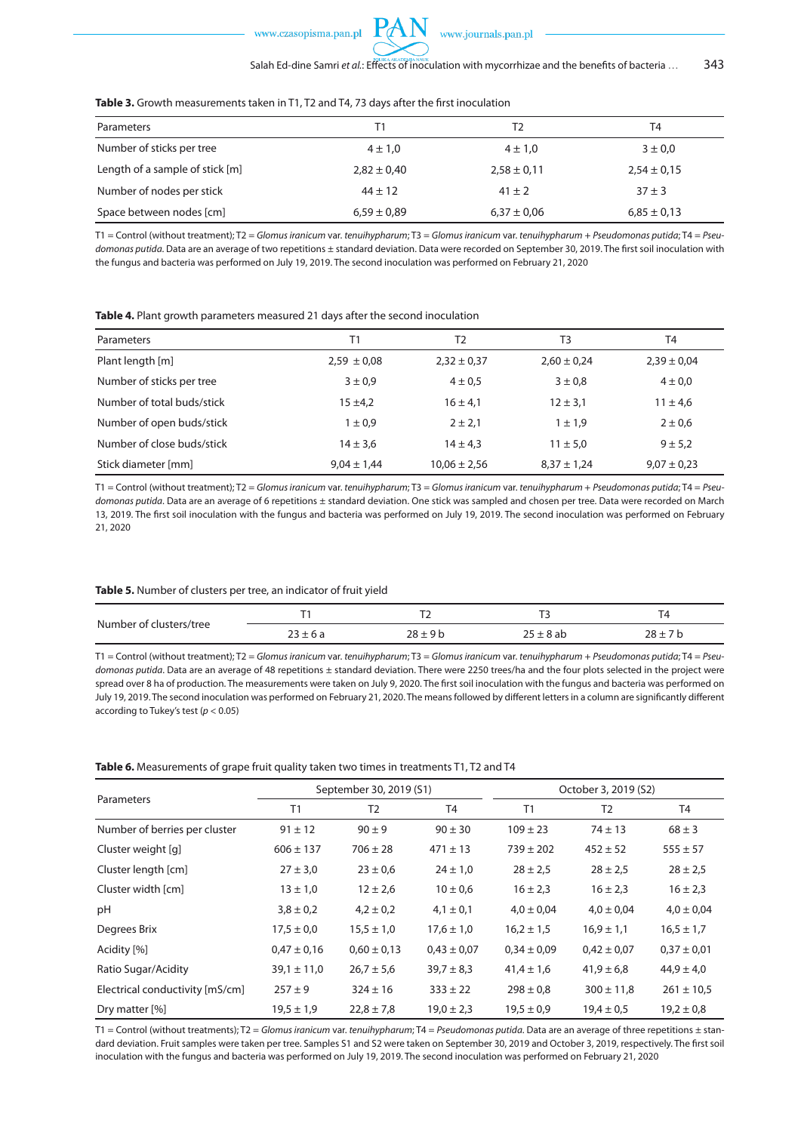

| Table 3. Growth measurements taken in T1, T2 and T4, 73 days after the first inoculation |  |  |  |  |  |
|------------------------------------------------------------------------------------------|--|--|--|--|--|
|------------------------------------------------------------------------------------------|--|--|--|--|--|

| Parameters                      | Τ1              | T2              | T4              |
|---------------------------------|-----------------|-----------------|-----------------|
| Number of sticks per tree       | $4 \pm 1,0$     | $4 \pm 1,0$     | $3 \pm 0.0$     |
| Length of a sample of stick [m] | $2,82 \pm 0,40$ | $2,58 \pm 0,11$ | $2,54 \pm 0,15$ |
| Number of nodes per stick       | $44 \pm 12$     | $41 \pm 2$      | $37 + 3$        |
| Space between nodes [cm]        | $6,59 \pm 0.89$ | $6,37 \pm 0,06$ | $6,85 \pm 0,13$ |

T1 = Control (without treatment); T2 = *Glomus iranicum* var. *tenuihypharum*; T3 = *Glomus iranicum* var. *tenuihypharum* + *Pseudomonas putida*; T4 = *Pseudomonas putida*. Data are an average of two repetitions ± standard deviation. Data were recorded on September 30, 2019. The first soil inoculation with the fungus and bacteria was performed on July 19, 2019. The second inoculation was performed on February 21, 2020

| Table 4. Plant growth parameters measured 21 days after the second inoculation |
|--------------------------------------------------------------------------------|
|--------------------------------------------------------------------------------|

| Parameters                 |                 | T2               | T <sub>3</sub>  | T4              |
|----------------------------|-----------------|------------------|-----------------|-----------------|
| Plant length [m]           | $2,59 \pm 0,08$ | $2,32 \pm 0,37$  | $2,60 \pm 0,24$ | $2,39 \pm 0,04$ |
| Number of sticks per tree  | $3 \pm 0.9$     | $4 \pm 0.5$      | $3 \pm 0.8$     | $4 \pm 0.0$     |
| Number of total buds/stick | $15 + 4.2$      | $16 \pm 4.1$     | $12 \pm 3.1$    | $11 \pm 4.6$    |
| Number of open buds/stick  | $1 \pm 0.9$     | $2 \pm 2.1$      | $1 \pm 1.9$     | $2 \pm 0.6$     |
| Number of close buds/stick | $14 \pm 3.6$    | $14 \pm 4.3$     | $11 \pm 5.0$    | $9 + 5.2$       |
| Stick diameter [mm]        | $9.04 \pm 1.44$ | $10.06 \pm 2.56$ | $8,37 \pm 1,24$ | $9,07 \pm 0,23$ |

T1 = Control (without treatment); T2 = *Glomus iranicum* var. *tenuihypharum*; T3 = *Glomus iranicum* var. *tenuihypharum* + *Pseudomonas putida*; T4 = *Pseudomonas putida*. Data are an average of 6 repetitions ± standard deviation. One stick was sampled and chosen per tree. Data were recorded on March 13, 2019. The first soil inoculation with the fungus and bacteria was performed on July 19, 2019. The second inoculation was performed on February 21, 2020

#### **Table 5.** Number of clusters per tree, an indicator of fruit yield

| Number of clusters/tree |               | $\cdot$ $\sim$ | $\cdot$ $\sim$ | ▵<br>. .    |
|-------------------------|---------------|----------------|----------------|-------------|
|                         | ∵O c<br>_____ | ` ⊦ Q h        | ∵8 ab          | $20 -$<br>ᆞ |

T1 = Control (without treatment); T2 = *Glomus iranicum* var. *tenuihypharum*; T3 = *Glomus iranicum* var. *tenuihypharum* + *Pseudomonas putida*; T4 = *Pseudomonas putida*. Data are an average of 48 repetitions ± standard deviation. There were 2250 trees/ha and the four plots selected in the project were spread over 8 ha of production. The measurements were taken on July 9, 2020. The first soil inoculation with the fungus and bacteria was performed on July 19, 2019. The second inoculation was performed on February 21, 2020. The means followed by different letters in a column are significantly different according to Tukey's test (*p* < 0.05)

#### **Table 6.** Measurements of grape fruit quality taken two times in treatments T1, T2 and T4

|                                 | September 30, 2019 (S1) |                 |                 | October 3, 2019 (S2) |                 |                 |
|---------------------------------|-------------------------|-----------------|-----------------|----------------------|-----------------|-----------------|
| Parameters                      | T1                      | T <sub>2</sub>  | T4              | T1                   | T <sub>2</sub>  | T4              |
| Number of berries per cluster   | $91 \pm 12$             | $90 \pm 9$      | $90 \pm 30$     | $109 \pm 23$         | $74 \pm 13$     | $68 \pm 3$      |
| Cluster weight [q]              | $606 \pm 137$           | $706 \pm 28$    | $471 \pm 13$    | $739 \pm 202$        | $452 \pm 52$    | $555 \pm 57$    |
| Cluster length [cm]             | $27 \pm 3.0$            | $23 \pm 0.6$    | $24 \pm 1,0$    | $28 \pm 2.5$         | $28 \pm 2.5$    | $28 \pm 2.5$    |
| Cluster width [cm]              | $13 \pm 1.0$            | $12 \pm 2.6$    | $10 \pm 0.6$    | $16 \pm 2.3$         | $16 \pm 2.3$    | $16 \pm 2.3$    |
| pH                              | $3,8 \pm 0,2$           | $4.2 \pm 0.2$   | $4,1 \pm 0,1$   | $4.0 \pm 0.04$       | $4.0 \pm 0.04$  | $4.0 \pm 0.04$  |
| Degrees Brix                    | $17,5 \pm 0,0$          | $15.5 \pm 1.0$  | $17,6 \pm 1,0$  | $16.2 \pm 1.5$       | $16.9 \pm 1.1$  | $16.5 \pm 1.7$  |
| Acidity [%]                     | $0.47 \pm 0.16$         | $0.60 \pm 0.13$ | $0.43 \pm 0.07$ | $0.34 \pm 0.09$      | $0,42 \pm 0,07$ | $0,37 \pm 0,01$ |
| Ratio Sugar/Acidity             | $39.1 \pm 11.0$         | $26.7 \pm 5.6$  | $39.7 \pm 8.3$  | $41,4 \pm 1,6$       | $41,9 \pm 6,8$  | $44,9 \pm 4,0$  |
| Electrical conductivity [mS/cm] | $257 + 9$               | $324 \pm 16$    | $333 \pm 22$    | $298 \pm 0.8$        | $300 \pm 11,8$  | $261 \pm 10.5$  |
| Dry matter [%]                  | $19.5 \pm 1.9$          | $22,8 \pm 7,8$  | $19,0 \pm 2,3$  | $19.5 \pm 0.9$       | $19,4 \pm 0.5$  | $19.2 \pm 0.8$  |

T1 = Control (without treatments); T2 = *Glomus iranicum* var. *tenuihypharum*; T4 = *Pseudomonas putida*. Data are an average of three repetitions ± standard deviation. Fruit samples were taken per tree. Samples S1 and S2 were taken on September 30, 2019 and October 3, 2019, respectively. The first soil inoculation with the fungus and bacteria was performed on July 19, 2019. The second inoculation was performed on February 21, 2020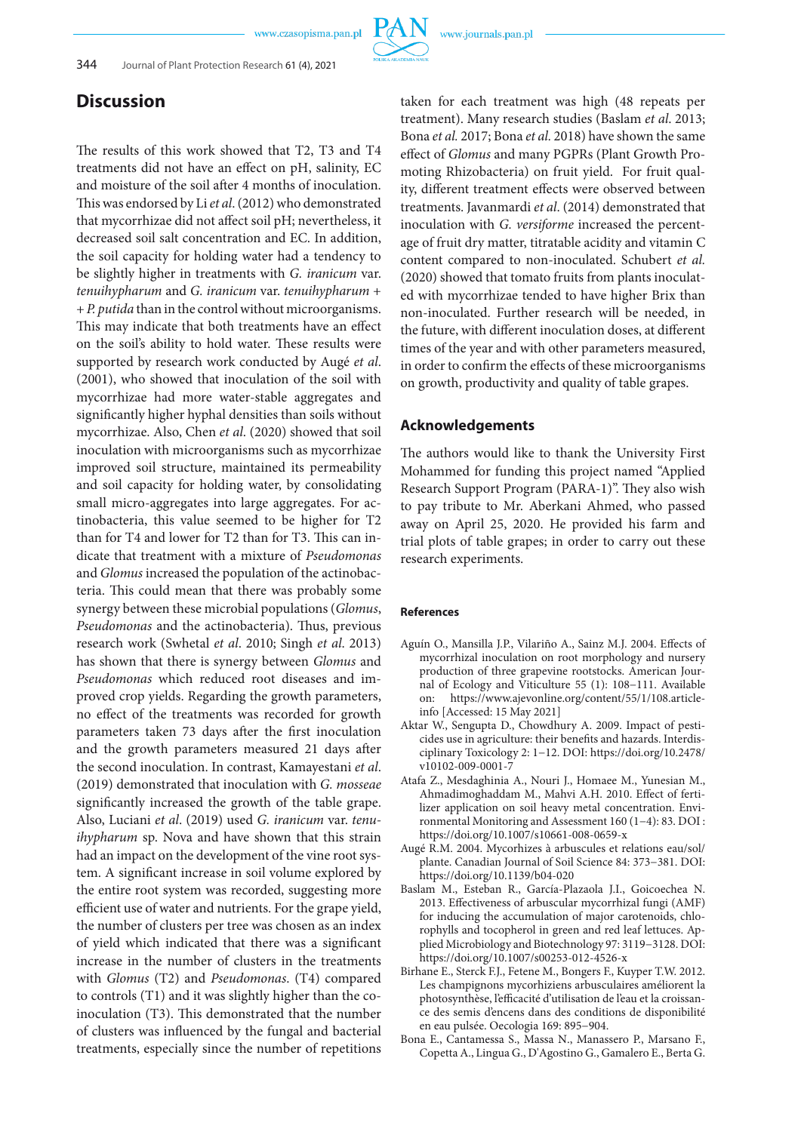

# **Discussion**

The results of this work showed that T2, T3 and T4 treatments did not have an effect on pH, salinity, EC and moisture of the soil after 4 months of inoculation. This was endorsed by Li *et al*. (2012) who demonstrated that mycorrhizae did not affect soil pH; nevertheless, it decreased soil salt concentration and EC. In addition, the soil capacity for holding water had a tendency to be slightly higher in treatments with *G. iranicum* var. *tenuihypharum* and *G. iranicum* var. *tenuihypharum* + + *P. putida* than in the control without microorganisms. This may indicate that both treatments have an effect on the soil's ability to hold water. These results were supported by research work conducted by Augé *et al*. (2001), who showed that inoculation of the soil with mycorrhizae had more water-stable aggregates and significantly higher hyphal densities than soils without mycorrhizae. Also, Chen *et al*. (2020) showed that soil inoculation with microorganisms such as mycorrhizae improved soil structure, maintained its permeability and soil capacity for holding water, by consolidating small micro-aggregates into large aggregates. For actinobacteria, this value seemed to be higher for T2 than for T4 and lower for T2 than for T3. This can indicate that treatment with a mixture of *Pseudomonas* and *Glomus* increased the population of the actinobacteria. This could mean that there was probably some synergy between these microbial populations (*Glomus*, *Pseudomonas* and the actinobacteria). Thus, previous research work (Swhetal *et al*. 2010; Singh *et al*. 2013) has shown that there is synergy between *Glomus* and *Pseudomonas* which reduced root diseases and improved crop yields. Regarding the growth parameters, no effect of the treatments was recorded for growth parameters taken 73 days after the first inoculation and the growth parameters measured 21 days after the second inoculation. In contrast, Kamayestani *et al*. (2019) demonstrated that inoculation with *G. mosseae* significantly increased the growth of the table grape. Also, Luciani *et al*. (2019) used *G. iranicum* var. *tenuihypharum* sp. Nova and have shown that this strain had an impact on the development of the vine root system. A significant increase in soil volume explored by the entire root system was recorded, suggesting more efficient use of water and nutrients. For the grape yield, the number of clusters per tree was chosen as an index of yield which indicated that there was a significant increase in the number of clusters in the treatments with *Glomus* (T2) and *Pseudomonas*. (T4) compared to controls (T1) and it was slightly higher than the coinoculation (T3). This demonstrated that the number of clusters was influenced by the fungal and bacterial treatments, especially since the number of repetitions

taken for each treatment was high (48 repeats per treatment). Many research studies (Baslam *et al*. 2013; Bona *et al.* 2017; Bona *et al.* 2018) have shown the same effect of *Glomus* and many PGPRs (Plant Growth Promoting Rhizobacteria) on fruit yield. For fruit quality, different treatment effects were observed between treatments. Javanmardi *et al*. (2014) demonstrated that inoculation with *G. versiforme* increased the percentage of fruit dry matter, titratable acidity and vitamin C content compared to non-inoculated. Schubert *et al.* (2020) showed that tomato fruits from plants inoculated with mycorrhizae tended to have higher Brix than non-inoculated. Further research will be needed, in the future, with different inoculation doses, at different times of the year and with other parameters measured, in order to confirm the effects of these microorganisms on growth, productivity and quality of table grapes.

## **Acknowledgements**

The authors would like to thank the University First Mohammed for funding this project named "Applied Research Support Program (PARA-1)". They also wish to pay tribute to Mr. Aberkani Ahmed, who passed away on April 25, 2020. He provided his farm and trial plots of table grapes; in order to carry out these research experiments.

#### **References**

- Aguín O., Mansilla J.P., Vilariño A., Sainz M.J. 2004. Effects of mycorrhizal inoculation on root morphology and nursery production of three grapevine rootstocks. American Journal of Ecology and Viticulture 55 (1): 108−111. Available on: https://www.ajevonline.org/content/55/1/108.articleinfo [Accessed: 15 May 2021]
- Aktar W., Sengupta D., Chowdhury A. 2009. Impact of pesticides use in agriculture: their benefits and hazards. Interdisciplinary Toxicology 2: 1−12. DOI: https://doi.org/10.2478/ v10102-009-0001-7
- Atafa Z., Mesdaghinia A., Nouri J., Homaee M., Yunesian M., Ahmadimoghaddam M., Mahvi A.H. 2010. Effect of fertilizer application on soil heavy metal concentration. Environmental Monitoring and Assessment 160 (1−4): 83. DOI : https://doi.org/10.1007/s10661-008-0659-x
- Augé R.M. 2004. Mycorhizes à arbuscules et relations eau/sol/ plante. Canadian Journal of Soil Science 84: 373−381. DOI: https://doi.org/10.1139/b04-020
- Baslam M., Esteban R., García-Plazaola J.I., Goicoechea N. 2013. Effectiveness of arbuscular mycorrhizal fungi (AMF) for inducing the accumulation of major carotenoids, chlorophylls and tocopherol in green and red leaf lettuces. Applied Microbiology and Biotechnology 97: 3119−3128. DOI: https://doi.org/10.1007/s00253-012-4526-x
- Birhane E., Sterck F.J., Fetene M., Bongers F., Kuyper T.W. 2012. Les champignons mycorhiziens arbusculaires améliorent la photosynthèse, l'efficacité d'utilisation de l'eau et la croissance des semis d'encens dans des conditions de disponibilité en eau pulsée. Oecologia 169: 895−904.
- Bona E., Cantamessa S., Massa N., Manassero P., Marsano F., Copetta A., Lingua G., D'Agostino G., Gamalero E., Berta G.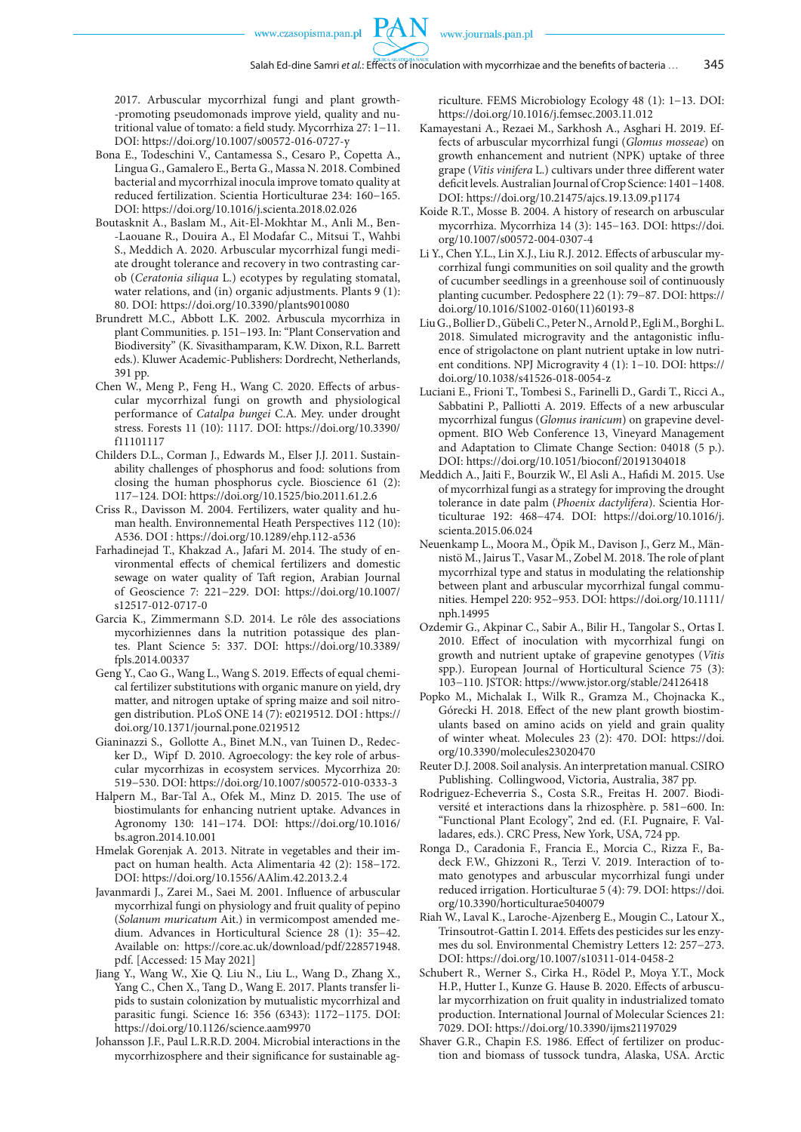2017. Arbuscular mycorrhizal fungi and plant growth- -promoting pseudomonads improve yield, quality and nutritional value of tomato: a field study. Mycorrhiza 27: 1−11. DOI: https://doi.org/10.1007/s00572-016-0727-y

- Bona E., Todeschini V., Cantamessa S., Cesaro P., Copetta A., Lingua G., Gamalero E., Berta G., Massa N. 2018. Combined bacterial and mycorrhizal inocula improve tomato quality at reduced fertilization. Scientia Horticulturae 234: 160−165. DOI: https://doi.org/10.1016/j.scienta.2018.02.026
- Boutasknit A., Baslam M., Ait-El-Mokhtar M., Anli M., Ben- -Laouane R., Douira A., El Modafar C., Mitsui T., Wahbi S., Meddich A. 2020. Arbuscular mycorrhizal fungi mediate drought tolerance and recovery in two contrasting carob (*Ceratonia siliqua* L.) ecotypes by regulating stomatal, water relations, and (in) organic adjustments. Plants 9 (1): 80. DOI: https://doi.org/10.3390/plants9010080
- Brundrett M.C., Abbott L.K. 2002. Arbuscula mycorrhiza in plant Communities. p. 151−193. In: "Plant Conservation and Biodiversity" (K. Sivasithamparam, K.W. Dixon, R.L. Barrett eds.). Kluwer Academic-Publishers: Dordrecht, Netherlands, 391 pp.
- Chen W., Meng P., Feng H., Wang C. 2020. Effects of arbuscular mycorrhizal fungi on growth and physiological performance of *Catalpa bungei* C.A. Mey. under drought stress. Forests 11 (10): 1117. DOI: https://doi.org/10.3390/ f11101117
- Childers D.L., Corman J., Edwards M., Elser J.J. 2011. Sustainability challenges of phosphorus and food: solutions from closing the human phosphorus cycle. Bioscience 61 (2): 117−124. DOI: https://doi.org/10.1525/bio.2011.61.2.6
- Criss R., Davisson M. 2004. Fertilizers, water quality and human health. Environnemental Heath Perspectives 112 (10): A536. DOI : https://doi.org/10.1289/ehp.112-a536
- Farhadinejad T., Khakzad A., Jafari M. 2014. The study of environmental effects of chemical fertilizers and domestic sewage on water quality of Taft region, Arabian Journal of Geoscience 7: 221−229. DOI: https://doi.org/10.1007/ s12517-012-0717-0
- Garcia K., Zimmermann S.D. 2014. Le rôle des associations mycorhiziennes dans la nutrition potassique des plantes. Plant Science 5: 337. DOI: https://doi.org/10.3389/ fpls.2014.00337
- Geng Y., Cao G., Wang L., Wang S. 2019. Effects of equal chemical fertilizer substitutions with organic manure on yield, dry matter, and nitrogen uptake of spring maize and soil nitrogen distribution. PLoS ONE 14 (7): e0219512. DOI : https:// doi.org/10.1371/journal.pone.0219512
- Gianinazzi S., Gollotte A., Binet M.N., van Tuinen D., Redecker D., Wipf D. 2010. Agroecology: the key role of arbuscular mycorrhizas in ecosystem services. Mycorrhiza 20: 519−530. DOI: https://doi.org/10.1007/s00572-010-0333-3
- Halpern M., Bar-Tal A., Ofek M., Minz D. 2015. The use of biostimulants for enhancing nutrient uptake. Advances in Agronomy 130: 141−174. DOI: https://doi.org/10.1016/ bs.agron.2014.10.001
- Hmelak Gorenjak A. 2013. Nitrate in vegetables and their impact on human health. Acta Alimentaria 42 (2): 158−172. DOI: https://doi.org/10.1556/AAlim.42.2013.2.4
- Javanmardi J., Zarei M., Saei M. 2001. Influence of arbuscular mycorrhizal fungi on physiology and fruit quality of pepino (*Solanum muricatum* Ait.) in vermicompost amended medium. Advances in Horticultural Science 28 (1): 35−42. Available on: https://core.ac.uk/download/pdf/228571948. pdf. [Accessed: 15 May 2021]
- Jiang Y., Wang W., Xie Q. Liu N., Liu L., Wang D., Zhang X., Yang C., Chen X., Tang D., Wang E. 2017. Plants transfer lipids to sustain colonization by mutualistic mycorrhizal and parasitic fungi. Science 16: 356 (6343): 1172−1175. DOI: https://doi.org/10.1126/science.aam9970
- Johansson J.F., Paul L.R.R.D. 2004. Microbial interactions in the mycorrhizosphere and their significance for sustainable ag-

riculture. FEMS Microbiology Ecology 48 (1): 1−13. DOI: https://doi.org/10.1016/j.femsec.2003.11.012

- Kamayestani A., Rezaei M., Sarkhosh A., Asghari H. 2019. Effects of arbuscular mycorrhizal fungi (*Glomus mosseae*) on growth enhancement and nutrient (NPK) uptake of three grape (*Vitis vinifera* L.) cultivars under three different water deficit levels. Australian Journal of Crop Science: 1401−1408. DOI: https://doi.org/10.21475/ajcs.19.13.09.p1174
- Koide R.T., Mosse B. 2004. A history of research on arbuscular mycorrhiza. Mycorrhiza 14 (3): 145−163. DOI: https://doi. org/10.1007/s00572-004-0307-4
- Li Y., Chen Y.L., Lin X.J., Liu R.J. 2012. Effects of arbuscular mycorrhizal fungi communities on soil quality and the growth of cucumber seedlings in a greenhouse soil of continuously planting cucumber. Pedosphere 22 (1): 79−87. DOI: https:// doi.org/10.1016/S1002-0160(11)60193-8
- Liu G., Bollier D., Gübeli C., Peter N., Arnold P., Egli M., Borghi L. 2018. Simulated microgravity and the antagonistic influence of strigolactone on plant nutrient uptake in low nutrient conditions. NPJ Microgravity 4 (1): 1−10. DOI: https:// doi.org/10.1038/s41526-018-0054-z
- Luciani E., Frioni T., Tombesi S., Farinelli D., Gardi T., Ricci A., Sabbatini P., Palliotti A. 2019. Effects of a new arbuscular mycorrhizal fungus (*Glomus iranicum*) on grapevine development. BIO Web Conference 13, Vineyard Management and Adaptation to Climate Change Section: 04018 (5 p.). DOI: https://doi.org/10.1051/bioconf/20191304018
- Meddich A., Jaiti F., Bourzik W., El Asli A., Hafidi M. 2015. Use of mycorrhizal fungi as a strategy for improving the drought tolerance in date palm (*Phoenix dactylifera*). Scientia Horticulturae 192: 468−474. DOI: https://doi.org/10.1016/j. scienta.2015.06.024
- Neuenkamp L., Moora M., Öpik M., Davison J., Gerz M., Männistö M., Jairus T., Vasar M., Zobel M. 2018. The role of plant mycorrhizal type and status in modulating the relationship between plant and arbuscular mycorrhizal fungal communities. Hempel 220: 952−953. DOI: https://doi.org/10.1111/ nph.14995
- Ozdemir G., Akpinar C., Sabir A., Bilir H., Tangolar S., Ortas I. 2010. Effect of inoculation with mycorrhizal fungi on growth and nutrient uptake of grapevine genotypes (*Vitis* spp.). European Journal of Horticultural Science 75 (3): 103−110. JSTOR: https://www.jstor.org/stable/24126418
- Popko M., Michalak I., Wilk R., Gramza M., Chojnacka K., Górecki H. 2018. Effect of the new plant growth biostimulants based on amino acids on yield and grain quality of winter wheat. Molecules 23 (2): 470. DOI: https://doi. org/10.3390/molecules23020470
- Reuter D.J. 2008. Soil analysis. An interpretation manual. CSIRO Publishing. Collingwood, Victoria, Australia, 387 pp.
- Rodriguez-Echeverria S., Costa S.R., Freitas H. 2007. Biodiversité et interactions dans la rhizosphère. p. 581−600. In: "Functional Plant Ecology", 2nd ed. (F.I. Pugnaire, F. Valladares, eds.). CRC Press, New York, USA, 724 pp.
- Ronga D., Caradonia F., Francia E., Morcia C., Rizza F., Badeck F.W., Ghizzoni R., Terzi V. 2019. Interaction of tomato genotypes and arbuscular mycorrhizal fungi under reduced irrigation. Horticulturae 5 (4): 79. DOI: https://doi. org/10.3390/horticulturae5040079
- Riah W., Laval K., Laroche-Ajzenberg E., Mougin C., Latour X., Trinsoutrot-Gattin I. 2014. Effets des pesticides sur les enzymes du sol. Environmental Chemistry Letters 12: 257−273. DOI: https://doi.org/10.1007/s10311-014-0458-2
- Schubert R., Werner S., Cirka H., Rödel P., Moya Y.T., Mock H.P., Hutter I., Kunze G. Hause B. 2020. Effects of arbuscular mycorrhization on fruit quality in industrialized tomato production. International Journal of Molecular Sciences 21: 7029. DOI: https://doi.org/10.3390/ijms21197029
- Shaver G.R., Chapin F.S. 1986. Effect of fertilizer on production and biomass of tussock tundra, Alaska, USA. Arctic